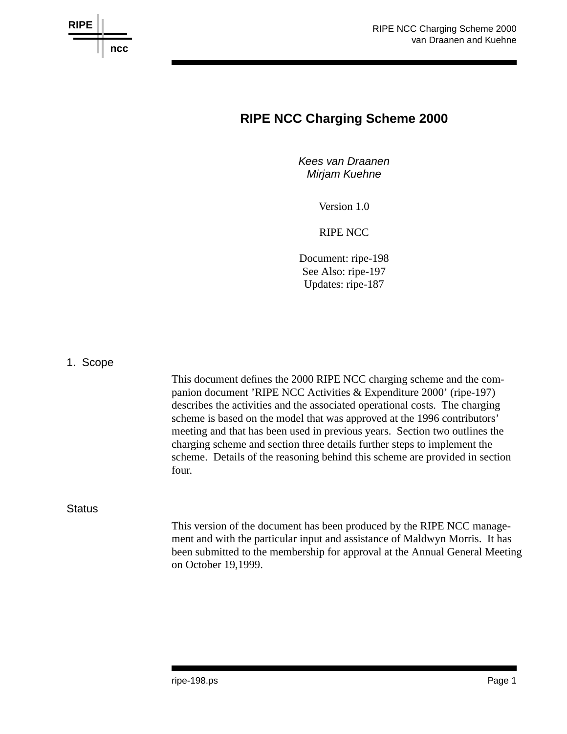

# **RIPE NCC Charging Scheme 2000**

*Kees van Draanen Mirjam Kuehne*

Version 1.0

RIPE NCC

Document: ripe-198 See Also: ripe-197 Updates: ripe-187

1. Scope

This document defines the 2000 RIPE NCC charging scheme and the companion document 'RIPE NCC Activities & Expenditure 2000' (ripe-197) describes the activities and the associated operational costs. The charging scheme is based on the model that was approved at the 1996 contributors' meeting and that has been used in previous years. Section two outlines the charging scheme and section three details further steps to implement the scheme. Details of the reasoning behind this scheme are provided in section four.

**Status** 

This version of the document has been produced by the RIPE NCC management and with the particular input and assistance of Maldwyn Morris. It has been submitted to the membership for approval at the Annual General Meeting on October 19,1999.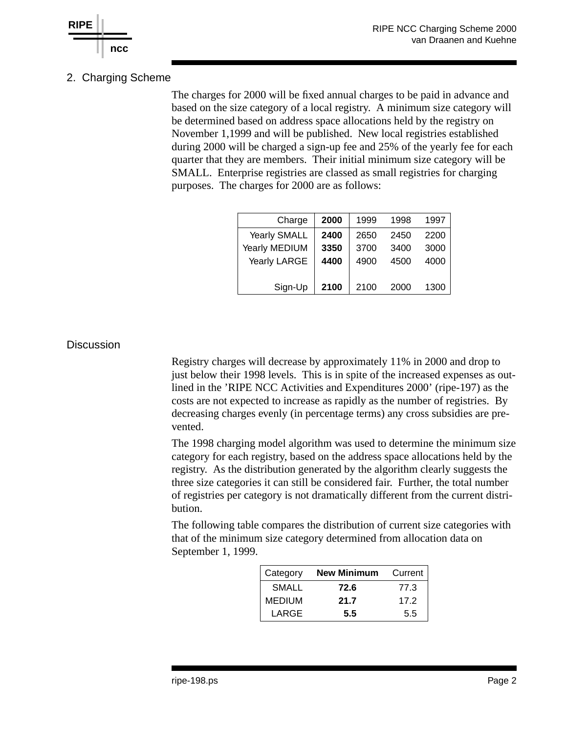

# 2. Charging Scheme

The charges for 2000 will be fixed annual charges to be paid in advance and based on the size category of a local registry. A minimum size category will be determined based on address space allocations held by the registry on November 1,1999 and will be published. New local registries established during 2000 will be charged a sign-up fee and 25% of the yearly fee for each quarter that they are members. Their initial minimum size category will be SMALL. Enterprise registries are classed as small registries for charging purposes. The charges for 2000 are as follows:

| Charge              | 2000 | 1999 | 1998 | 1997 |
|---------------------|------|------|------|------|
| <b>Yearly SMALL</b> | 2400 | 2650 | 2450 | 2200 |
| Yearly MEDIUM       | 3350 | 3700 | 3400 | 3000 |
| Yearly LARGE        | 4400 | 4900 | 4500 | 4000 |
|                     |      |      |      |      |
| Sign-Up             | 2100 | 2100 | 2000 | 1300 |

#### **Discussion**

Registry charges will decrease by approximately 11% in 2000 and drop to just below their 1998 levels. This is in spite of the increased expenses as outlined in the 'RIPE NCC Activities and Expenditures 2000' (ripe-197) as the costs are not expected to increase as rapidly as the number of registries. By decreasing charges evenly (in percentage terms) any cross subsidies are prevented.

The 1998 charging model algorithm was used to determine the minimum size category for each registry, based on the address space allocations held by the registry. As the distribution generated by the algorithm clearly suggests the three size categories it can still be considered fair. Further, the total number of registries per category is not dramatically different from the current distribution.

The following table compares the distribution of current size categories with that of the minimum size category determined from allocation data on September 1, 1999.

| Category | <b>New Minimum</b> | Current |
|----------|--------------------|---------|
| SMALL    | 72.6               | 77.3    |
| MEDIUM   | 21.7               | 17.2    |
| LARGE    | 55                 | 5.5     |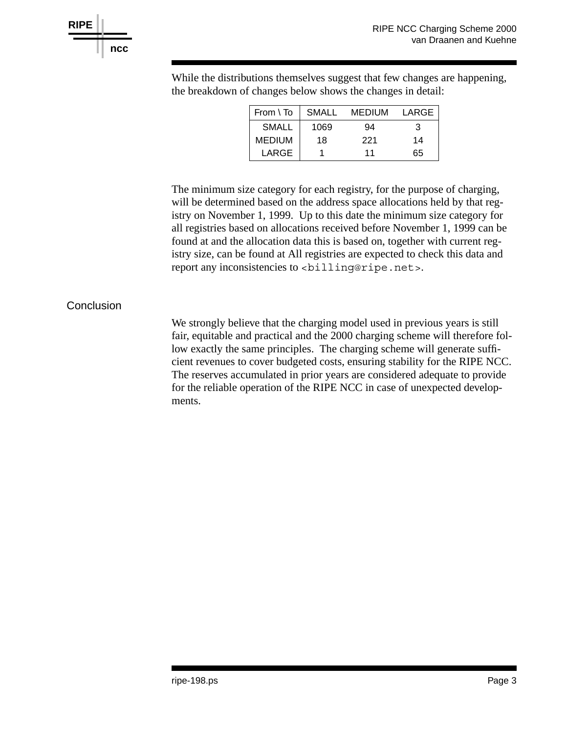

| $\sim$ or enthinged cerc  differs the things of the term |      |        |       |  |  |  |
|----------------------------------------------------------|------|--------|-------|--|--|--|
| $From \setminus To$ SMALL                                |      | MEDIUM | LARGE |  |  |  |
| <b>SMALL</b>                                             | 1069 | 94     |       |  |  |  |
| <b>MEDIUM</b>                                            | 18   | 221    | 14    |  |  |  |

LARGE 1 11 65

While the distributions themselves suggest that few changes are happening. the breakdown of changes below shows the changes in detail:

The minimum size category for each registry, for the purpose of charging, will be determined based on the address space allocations held by that registry on November 1, 1999. Up to this date the minimum size category for all registries based on allocations received before November 1, 1999 can be found at and the allocation data this is based on, together with current registry size, can be found at All registries are expected to check this data and report any inconsistencies to <br/> <br/> <br/>stencies.

### **Conclusion**

We strongly believe that the charging model used in previous years is still fair, equitable and practical and the 2000 charging scheme will therefore follow exactly the same principles. The charging scheme will generate sufficient revenues to cover budgeted costs, ensuring stability for the RIPE NCC. The reserves accumulated in prior years are considered adequate to provide for the reliable operation of the RIPE NCC in case of unexpected developments.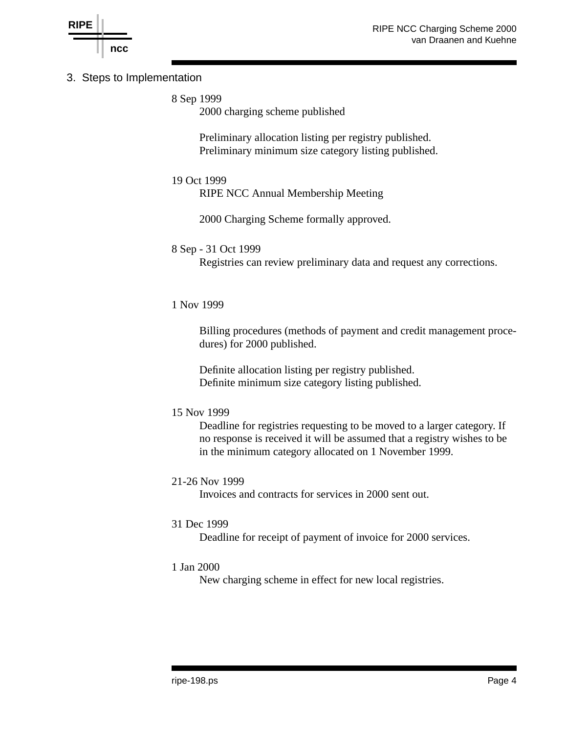

## 3. Steps to Implementation

8 Sep 1999

2000 charging scheme published

Preliminary allocation listing per registry published. Preliminary minimum size category listing published.

#### 19 Oct 1999

RIPE NCC Annual Membership Meeting

2000 Charging Scheme formally approved.

#### 8 Sep - 31 Oct 1999

Registries can review preliminary data and request any corrections.

#### 1 Nov 1999

Billing procedures (methods of payment and credit management procedures) for 2000 published.

Definite allocation listing per registry published. Definite minimum size category listing published.

#### 15 Nov 1999

Deadline for registries requesting to be moved to a larger category. If no response is received it will be assumed that a registry wishes to be in the minimum category allocated on 1 November 1999.

#### 21-26 Nov 1999

Invoices and contracts for services in 2000 sent out.

#### 31 Dec 1999

Deadline for receipt of payment of invoice for 2000 services.

#### 1 Jan 2000

New charging scheme in effect for new local registries.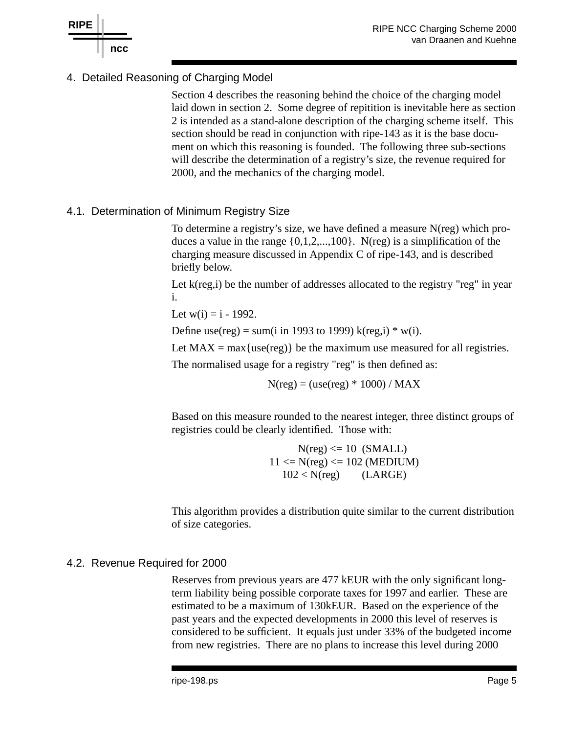

# 4. Detailed Reasoning of Charging Model

Section 4 describes the reasoning behind the choice of the charging model laid down in section 2. Some degree of repitition is inevitable here as section 2 is intended as a stand-alone description of the charging scheme itself. This section should be read in conjunction with ripe-143 as it is the base document on which this reasoning is founded. The following three sub-sections will describe the determination of a registry's size, the revenue required for 2000, and the mechanics of the charging model.

# 4.1. Determination of Minimum Registry Size

To determine a registry's size, we have defined a measure N(reg) which produces a value in the range  $\{0,1,2,...,100\}$ . N(reg) is a simplification of the charging measure discussed in Appendix C of ripe-143, and is described briefly below.

Let k(reg,i) be the number of addresses allocated to the registry "reg" in year i.

Let  $w(i) = i - 1992$ .

Define use(reg) = sum(i in 1993 to 1999) k(reg,i)  $*$  w(i).

Let  $MAX = max{use(reg)}$  be the maximum use measured for all registries.

The normalised usage for a registry "reg" is then defined as:

 $N(reg) = (use(reg) * 1000) / MAX$ 

Based on this measure rounded to the nearest integer, three distinct groups of registries could be clearly identified. Those with:

> $N(\text{reg}) \leq 10$  (SMALL)  $11 \le N(\text{reg}) \le 102 \text{ (MEDIUM)}$  $102 < N$ (reg) (LARGE)

This algorithm provides a distribution quite similar to the current distribution of size categories.

# 4.2. Revenue Required for 2000

Reserves from previous years are 477 kEUR with the only significant longterm liability being possible corporate taxes for 1997 and earlier. These are estimated to be a maximum of 130kEUR. Based on the experience of the past years and the expected developments in 2000 this level of reserves is considered to be sufficient. It equals just under 33% of the budgeted income from new registries. There are no plans to increase this level during 2000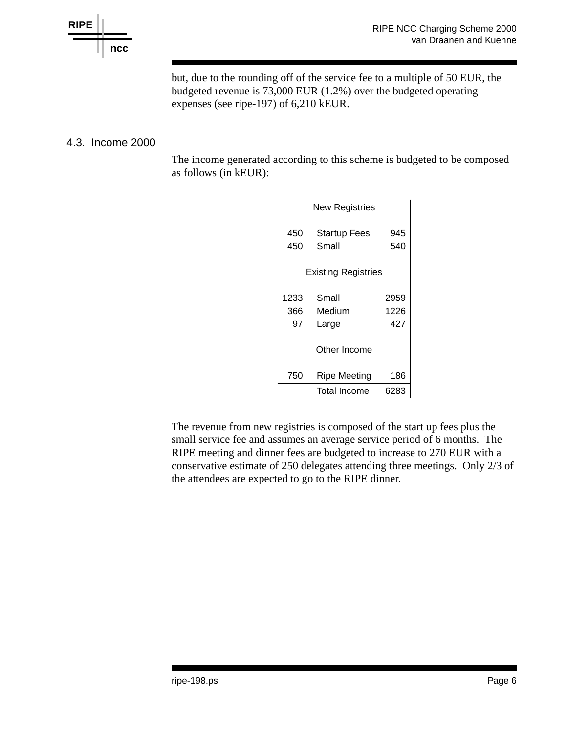

but, due to the rounding off of the service fee to a multiple of 50 EUR, the budgeted revenue is 73,000 EUR (1.2%) over the budgeted operating expenses (see ripe-197) of 6,210 kEUR.

# 4.3. Income 2000

The income generated according to this scheme is budgeted to be composed as follows (in kEUR):

| <b>New Registries</b>      |                              |            |  |  |
|----------------------------|------------------------------|------------|--|--|
| 450<br>450                 | <b>Startup Fees</b><br>Small | 945<br>540 |  |  |
| <b>Existing Registries</b> |                              |            |  |  |
| 1233                       | Small                        | 2959       |  |  |
| 366                        | Medium                       | 1226       |  |  |
| 97                         | Large                        | 427        |  |  |
|                            | Other Income                 |            |  |  |
| 750                        | <b>Ripe Meeting</b>          | 186        |  |  |
|                            | <b>Total Income</b>          | 6283       |  |  |

The revenue from new registries is composed of the start up fees plus the small service fee and assumes an average service period of 6 months. The RIPE meeting and dinner fees are budgeted to increase to 270 EUR with a conservative estimate of 250 delegates attending three meetings. Only 2/3 of the attendees are expected to go to the RIPE dinner.